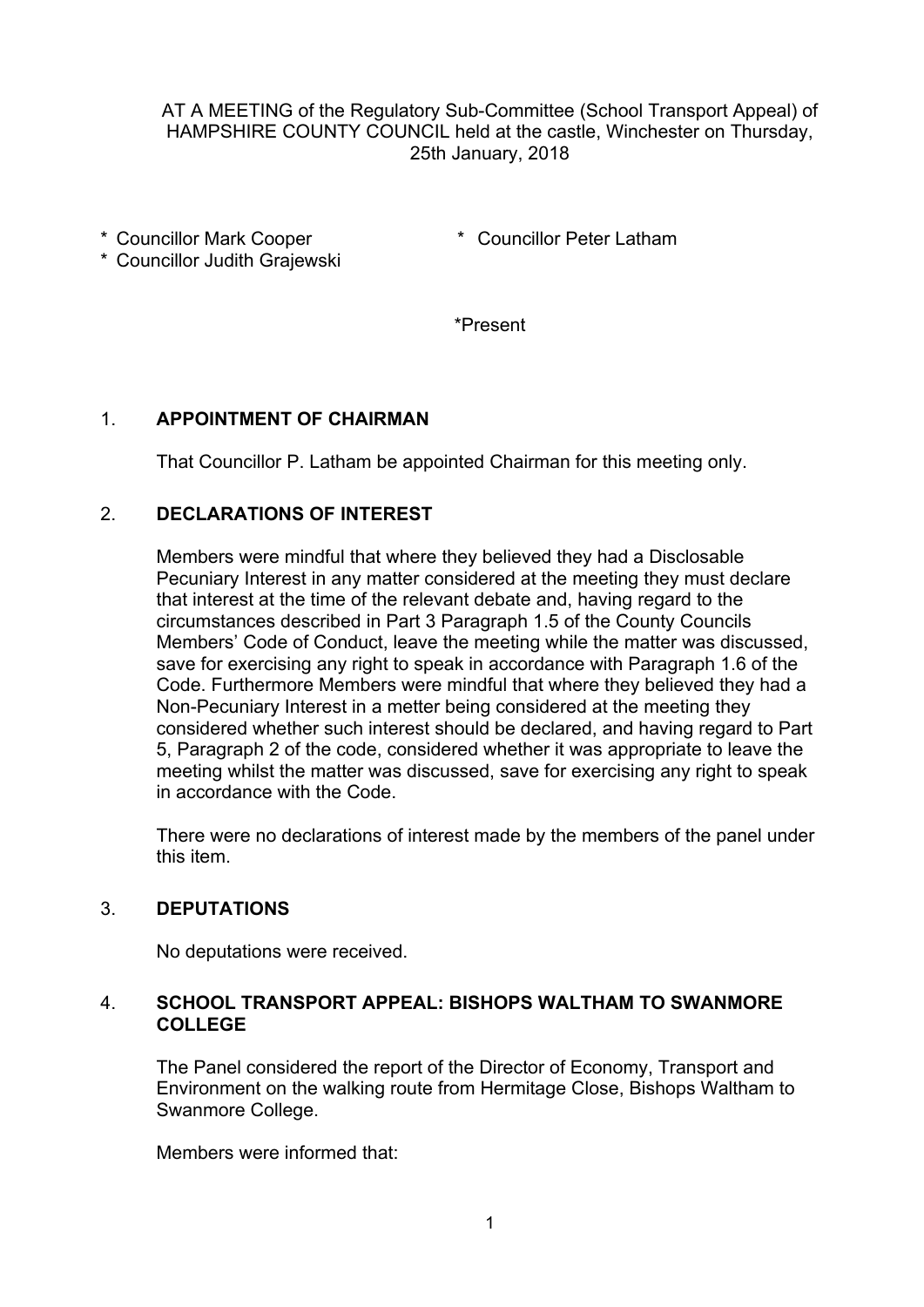AT A MEETING of the Regulatory Sub-Committee (School Transport Appeal) of HAMPSHIRE COUNTY COUNCIL held at the castle, Winchester on Thursday, 25th January, 2018

\* Councillor Mark Cooper

- \* Councillor Peter Latham
- \* Councillor Judith Grajewski

\*Present

### 1. **APPOINTMENT OF CHAIRMAN**

That Councillor P. Latham be appointed Chairman for this meeting only.

### 2. **DECLARATIONS OF INTEREST**

Members were mindful that where they believed they had a Disclosable Pecuniary Interest in any matter considered at the meeting they must declare that interest at the time of the relevant debate and, having regard to the circumstances described in Part 3 Paragraph 1.5 of the County Councils Members' Code of Conduct, leave the meeting while the matter was discussed, save for exercising any right to speak in accordance with Paragraph 1.6 of the Code. Furthermore Members were mindful that where they believed they had a Non-Pecuniary Interest in a metter being considered at the meeting they considered whether such interest should be declared, and having regard to Part 5, Paragraph 2 of the code, considered whether it was appropriate to leave the meeting whilst the matter was discussed, save for exercising any right to speak in accordance with the Code.

There were no declarations of interest made by the members of the panel under this item.

### 3. **DEPUTATIONS**

No deputations were received.

### 4. **SCHOOL TRANSPORT APPEAL: BISHOPS WALTHAM TO SWANMORE COLLEGE**

The Panel considered the report of the Director of Economy, Transport and Environment on the walking route from Hermitage Close, Bishops Waltham to Swanmore College.

Members were informed that: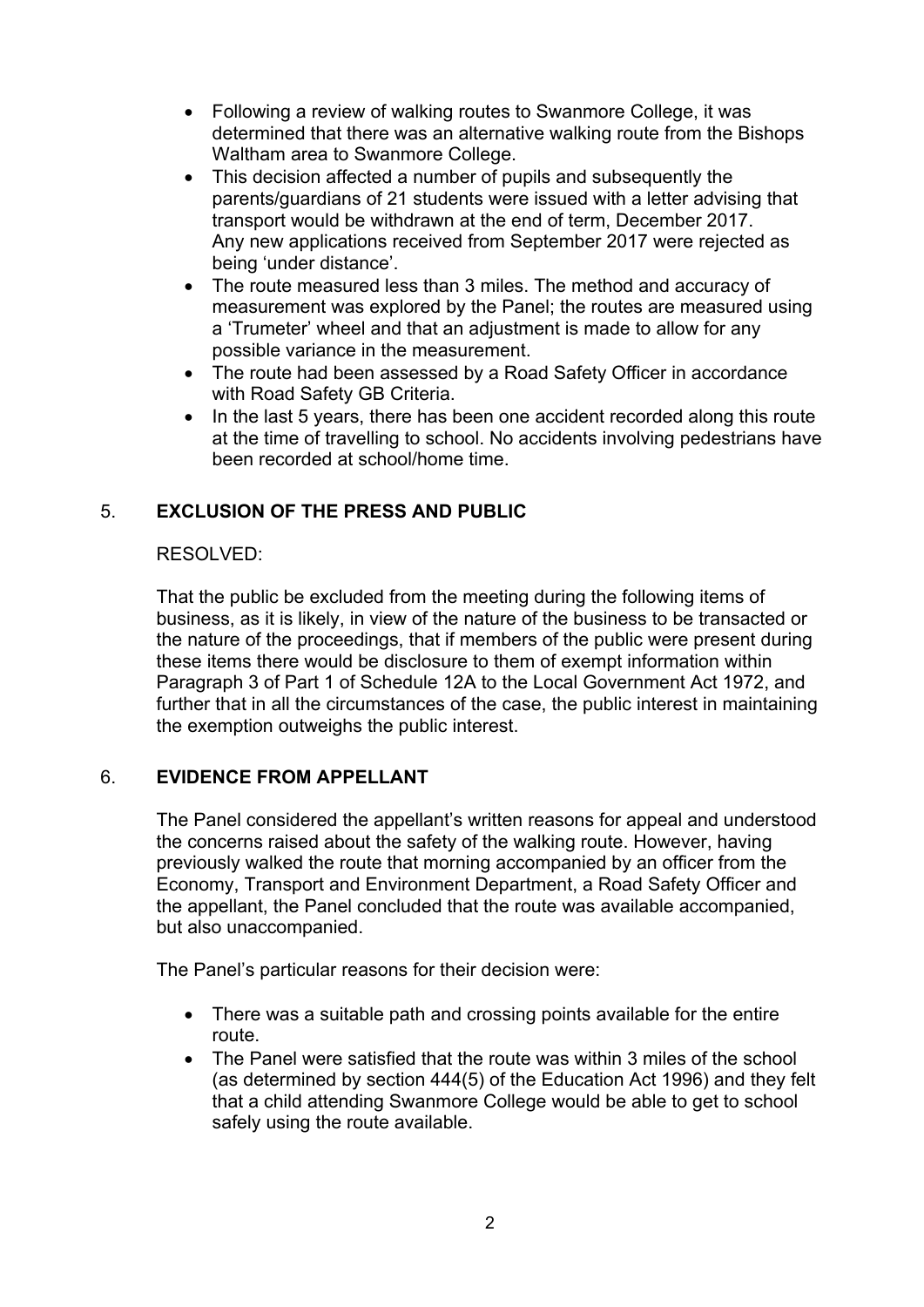- Following a review of walking routes to Swanmore College, it was determined that there was an alternative walking route from the Bishops Waltham area to Swanmore College.
- This decision affected a number of pupils and subsequently the parents/guardians of 21 students were issued with a letter advising that transport would be withdrawn at the end of term, December 2017. Any new applications received from September 2017 were rejected as being 'under distance'.
- The route measured less than 3 miles. The method and accuracy of measurement was explored by the Panel; the routes are measured using a 'Trumeter' wheel and that an adjustment is made to allow for any possible variance in the measurement.
- The route had been assessed by a Road Safety Officer in accordance with Road Safety GB Criteria.
- In the last 5 years, there has been one accident recorded along this route at the time of travelling to school. No accidents involving pedestrians have been recorded at school/home time.

# 5. **EXCLUSION OF THE PRESS AND PUBLIC**

# RESOLVED:

That the public be excluded from the meeting during the following items of business, as it is likely, in view of the nature of the business to be transacted or the nature of the proceedings, that if members of the public were present during these items there would be disclosure to them of exempt information within Paragraph 3 of Part 1 of Schedule 12A to the Local Government Act 1972, and further that in all the circumstances of the case, the public interest in maintaining the exemption outweighs the public interest.

# 6. **EVIDENCE FROM APPELLANT**

The Panel considered the appellant's written reasons for appeal and understood the concerns raised about the safety of the walking route. However, having previously walked the route that morning accompanied by an officer from the Economy, Transport and Environment Department, a Road Safety Officer and the appellant, the Panel concluded that the route was available accompanied, but also unaccompanied.

The Panel's particular reasons for their decision were:

- There was a suitable path and crossing points available for the entire route.
- The Panel were satisfied that the route was within 3 miles of the school (as determined by section 444(5) of the Education Act 1996) and they felt that a child attending Swanmore College would be able to get to school safely using the route available.